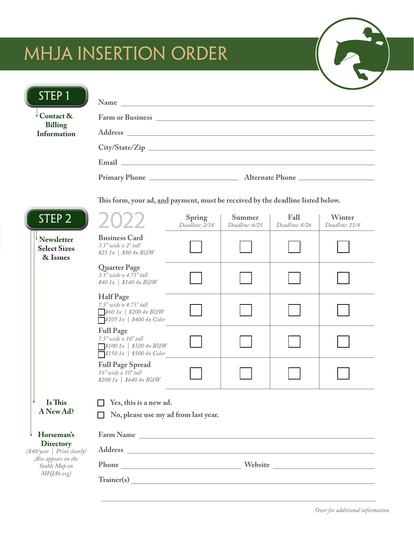# MHJA INSERTION ORDER

| STEP <sub>1</sub>                                                                                                   | Name<br><u> 1980 - John Stein, Amerikaansk politiker (* 1918)</u>                                                                  |                                 |                          |                               |                          |
|---------------------------------------------------------------------------------------------------------------------|------------------------------------------------------------------------------------------------------------------------------------|---------------------------------|--------------------------|-------------------------------|--------------------------|
| $\frac{1}{2}$ Contact &<br><b>Billing</b><br><b>Information</b>                                                     |                                                                                                                                    |                                 |                          |                               |                          |
|                                                                                                                     |                                                                                                                                    |                                 |                          |                               |                          |
|                                                                                                                     |                                                                                                                                    |                                 |                          |                               |                          |
|                                                                                                                     |                                                                                                                                    |                                 |                          |                               |                          |
|                                                                                                                     |                                                                                                                                    |                                 |                          |                               |                          |
|                                                                                                                     | This form, your ad, and payment, must be received by the deadline listed below.                                                    |                                 |                          |                               |                          |
| STEP <sub>2</sub>                                                                                                   | 2022                                                                                                                               | <b>Spring</b><br>Deadline: 2/18 | Summer<br>Deadline: 6/25 | <b>Fall</b><br>Deadline: 8/26 | Winter<br>Deadline: 11/4 |
| <sup>i</sup> Newsletter<br><b>Select Sizes</b><br>& Issues                                                          | <b>Business Card</b><br>$3.5"$ wide $x 2"$ tall<br>$$251x$   \$80 4x B&W                                                           |                                 |                          |                               |                          |
|                                                                                                                     | <b>Quarter Page</b><br>$3.5"$ wide x $4.75"$ tall<br>$$401x$   \$140 $4x$ BGW                                                      |                                 |                          |                               |                          |
|                                                                                                                     | <b>Half Page</b><br>7.5" wide x 4.75" tall<br>$8601x$   \$200 4x BGW<br>$\sqrt{$1051x \mid $4004x \text{ Color}}$                  |                                 |                          |                               |                          |
|                                                                                                                     | <b>Full Page</b><br>$7.5"$ wide $x$ $10"$ tall<br>$\sqrt{$1001x \mid $3204x B\Im W}$<br>$\sqrt{$1501x \mid $5004x \text{ Color} }$ |                                 |                          |                               |                          |
|                                                                                                                     | <b>Full Page Spread</b><br>$16"$ wide $x 10"$ tall<br>$$2001x$   \$640 4x BGW                                                      |                                 |                          |                               |                          |
| Is This<br>A New Ad?                                                                                                | Yes, this is a new ad.                                                                                                             |                                 |                          |                               |                          |
|                                                                                                                     | No, please use my ad from last year.                                                                                               |                                 |                          |                               |                          |
| Horseman's<br><b>Directory</b><br>(\$40/year   Print clearly!<br>Also appears on the<br>Stable Map on<br>MHJA6.org) | Farm Name                                                                                                                          |                                 |                          |                               |                          |
|                                                                                                                     |                                                                                                                                    |                                 |                          |                               |                          |
|                                                                                                                     |                                                                                                                                    |                                 |                          |                               |                          |
|                                                                                                                     |                                                                                                                                    |                                 |                          |                               |                          |
|                                                                                                                     |                                                                                                                                    |                                 |                          |                               |                          |